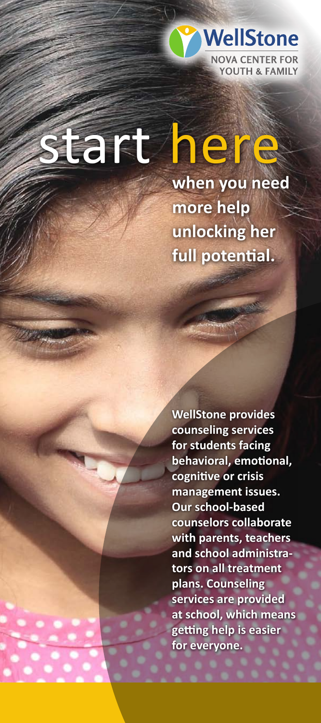

# tart here

**when you need more help unlocking her full potential.**

**WellStone provides counseling services for students facing behavioral, emotional, cognitive or crisis management issues. Our school-based counselors collaborate with parents, teachers and school administrators on all treatment plans. Counseling services are provided at school, which means getting help is easier for everyone.**